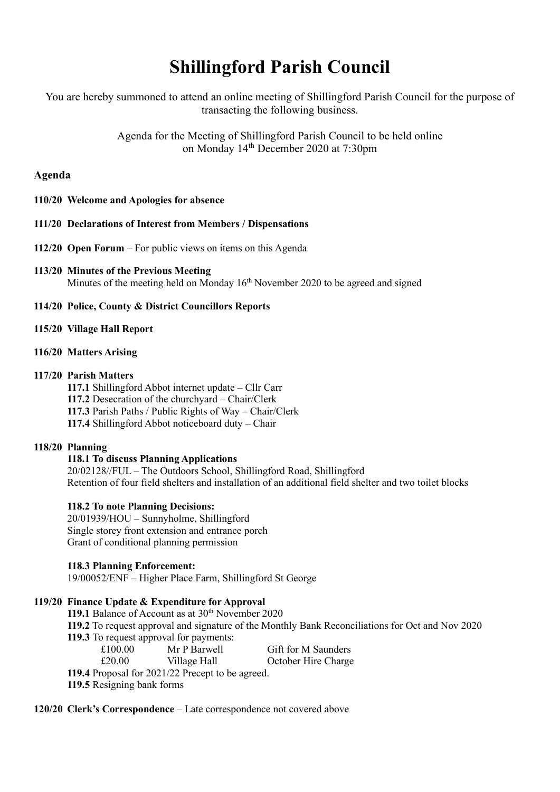# **Shillingford Parish Council**

You are hereby summoned to attend an online meeting of Shillingford Parish Council for the purpose of transacting the following business.

> Agenda for the Meeting of Shillingford Parish Council to be held online on Monday 14th December 2020 at 7:30pm

# **Agenda**

**110/20 Welcome and Apologies for absence**

## **111/20 Declarations of Interest from Members / Dispensations**

- **112/20 Open Forum –** For public views on items on this Agenda
- **113/20 Minutes of the Previous Meeting** Minutes of the meeting held on Monday 16<sup>th</sup> November 2020 to be agreed and signed
- **114/20 Police, County & District Councillors Reports**

## **115/20 Village Hall Report**

**116/20 Matters Arising**

## **117/20 Parish Matters**

**117.1** Shillingford Abbot internet update – Cllr Carr **117.2** Desecration of the churchyard – Chair/Clerk **117.3** Parish Paths / Public Rights of Way – Chair/Clerk **117.4** Shillingford Abbot noticeboard duty – Chair

# **118/20 Planning**

#### **118.1 To discuss Planning Applications**

20/02128//FUL – The Outdoors School, Shillingford Road, Shillingford Retention of four field shelters and installation of an additional field shelter and two toilet blocks

#### **118.2 To note Planning Decisions:**

20/01939/HOU – Sunnyholme, Shillingford Single storey front extension and entrance porch Grant of conditional planning permission

#### **118.3 Planning Enforcement:**

19/00052/ENF **–** Higher Place Farm, Shillingford St George

# **119/20 Finance Update & Expenditure for Approval**

119.1 Balance of Account as at 30<sup>th</sup> November 2020

**119.2** To request approval and signature of the Monthly Bank Reconciliations for Oct and Nov 2020

**119.3** To request approval for payments:

£100.00 Mr P Barwell Gift for M Saunders

£20.00 Village Hall October Hire Charge

**119.4** Proposal for 2021/22 Precept to be agreed.

**119.5** Resigning bank forms

**120/20 Clerk's Correspondence** – Late correspondence not covered above